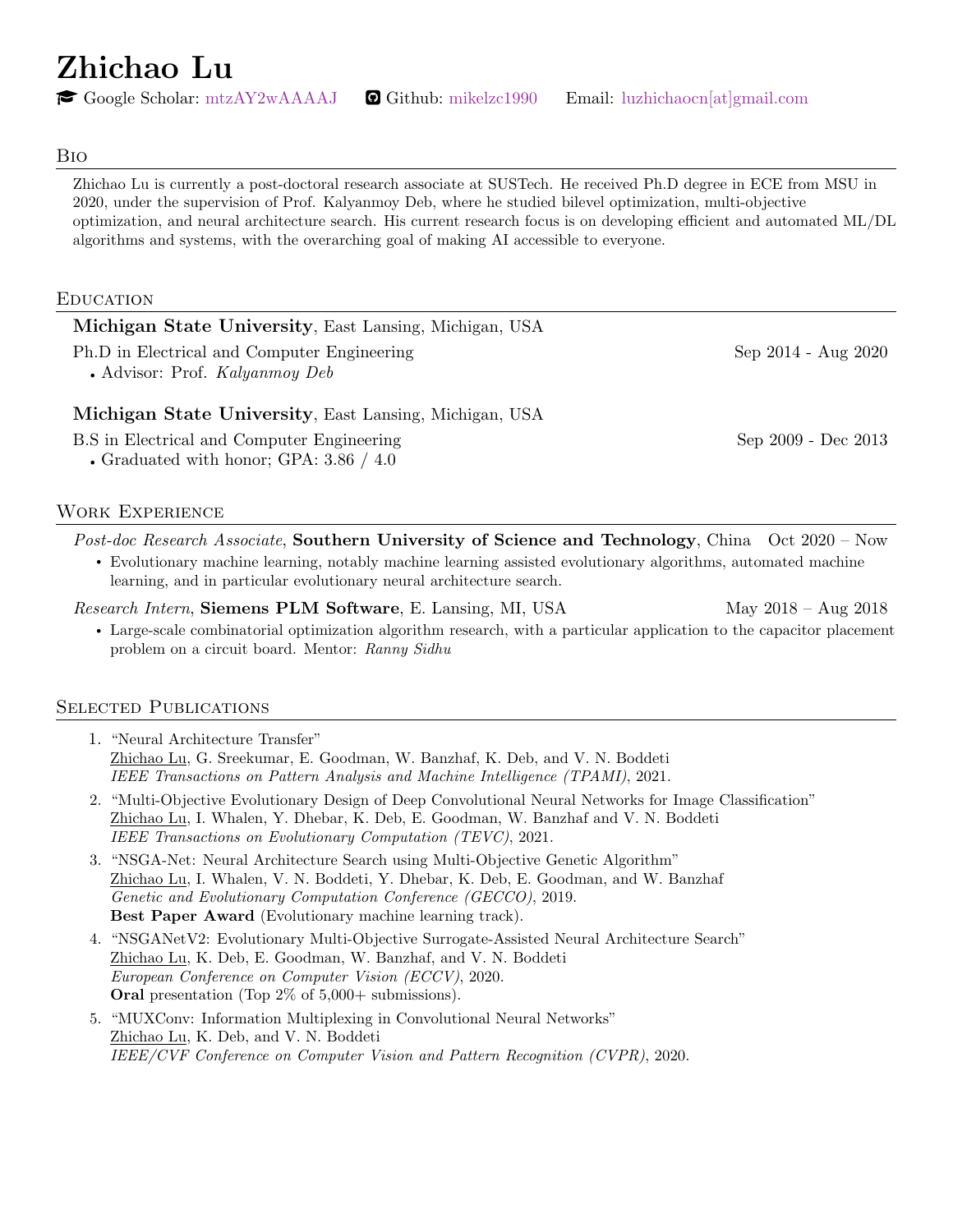Zhichao Lu

 $\bullet$  Google Scholar: [mtzAY2wAAAAJ](https://scholar.google.com/citations?user=mtzAY2wAAAAJ&hl=en)  $\bullet$  Github: [mikelzc1990](https://github.com/mikelzc1990) Email: [luzhichaocn\[at\]gmail.com](mailto:luzhichaocn@gmail.com)

#### Bio

Zhichao Lu is currently a post-doctoral research associate at SUSTech. He received Ph.D degree in ECE from MSU in 2020, under the supervision of Prof. Kalyanmoy Deb, where he studied bilevel optimization, multi-objective optimization, and neural architecture search. His current research focus is on developing efficient and automated ML/DL algorithms and systems, with the overarching goal of making AI accessible to everyone.

#### Education

| Michigan State University, East Lansing, Michigan, USA                               |                     |
|--------------------------------------------------------------------------------------|---------------------|
| Ph.D in Electrical and Computer Engineering<br>• Advisor: Prof. <i>Kalyanmoy Deb</i> | Sep 2014 - Aug 2020 |
| Michigan State University, East Lansing, Michigan, USA                               |                     |
| B.S in Electrical and Computer Engineering                                           | Sep 2009 - Dec 2013 |

' Graduated with honor; GPA: 3.86 / 4.0

### Work Experience

Post-doc Research Associate, Southern University of Science and Technology, China Oct 2020 – Now ' Evolutionary machine learning, notably machine learning assisted evolutionary algorithms, automated machine learning, and in particular evolutionary neural architecture search.

Research Intern, Siemens PLM Software, E. Lansing, MI, USA May 2018 – Aug 2018

' Large-scale combinatorial optimization algorithm research, with a particular application to the capacitor placement problem on a circuit board. Mentor: Ranny Sidhu

#### SELECTED PUBLICATIONS

1. "Neural Architecture Transfer" Zhichao Lu, G. Sreekumar, E. Goodman, W. Banzhaf, K. Deb, and V. N. Boddeti IEEE Transactions on Pattern Analysis and Machine Intelligence (TPAMI), 2021.

- 2. "Multi-Objective Evolutionary Design of Deep Convolutional Neural Networks for Image Classification" Zhichao Lu, I. Whalen, Y. Dhebar, K. Deb, E. Goodman, W. Banzhaf and V. N. Boddeti IEEE Transactions on Evolutionary Computation (TEVC), 2021.
- 3. "NSGA-Net: Neural Architecture Search using Multi-Objective Genetic Algorithm" Zhichao Lu, I. Whalen, V. N. Boddeti, Y. Dhebar, K. Deb, E. Goodman, and W. Banzhaf Genetic and Evolutionary Computation Conference (GECCO), 2019. Best Paper Award (Evolutionary machine learning track).
- 4. "NSGANetV2: Evolutionary Multi-Objective Surrogate-Assisted Neural Architecture Search" Zhichao Lu, K. Deb, E. Goodman, W. Banzhaf, and V. N. Boddeti European Conference on Computer Vision (ECCV), 2020. Oral presentation (Top 2% of 5,000+ submissions).
- 5. "MUXConv: Information Multiplexing in Convolutional Neural Networks" Zhichao Lu, K. Deb, and V. N. Boddeti IEEE/CVF Conference on Computer Vision and Pattern Recognition (CVPR), 2020.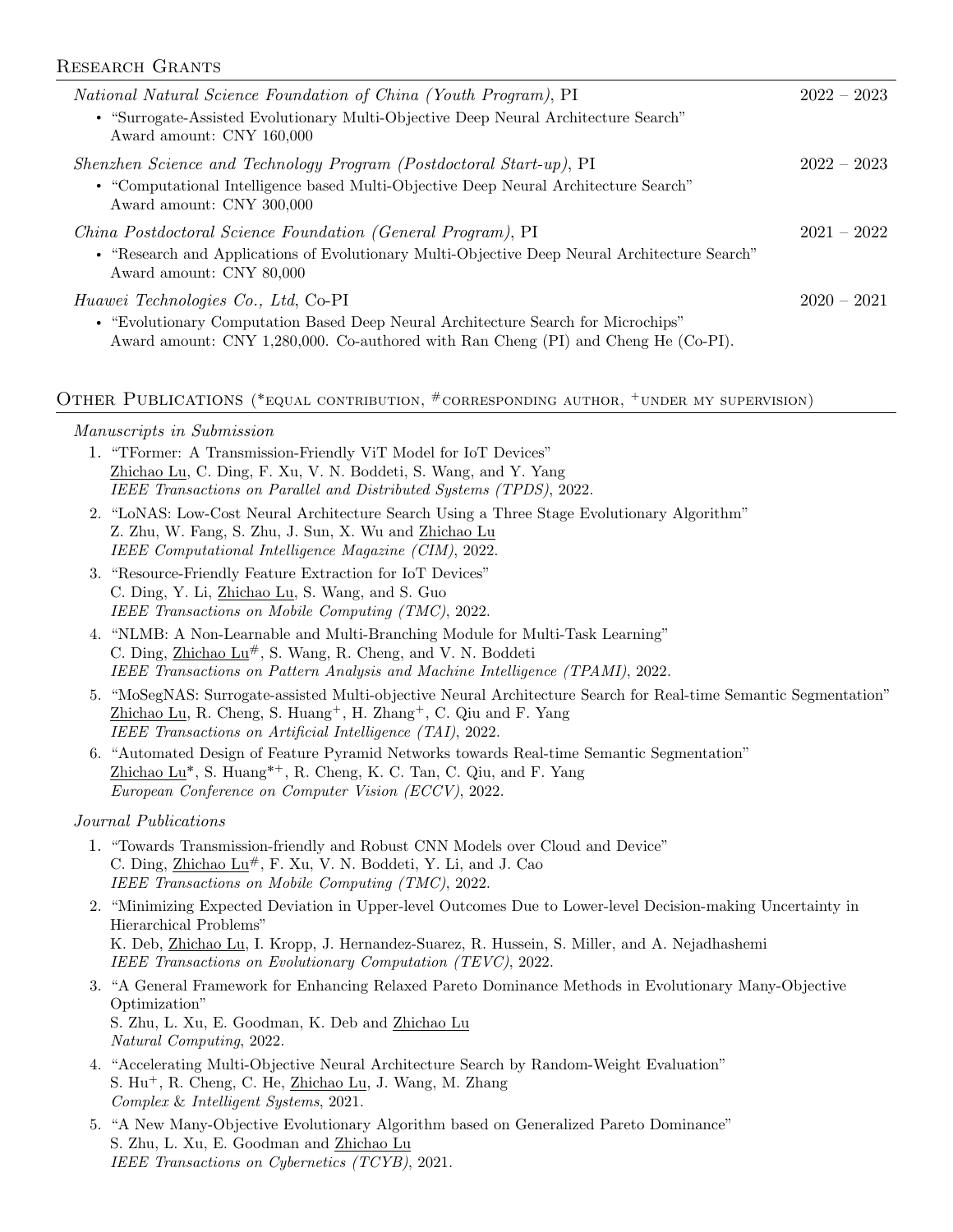### Research Grants

| <i>National Natural Science Foundation of China (Youth Program)</i> , PI<br>• "Surrogate-Assisted Evolutionary Multi-Objective Deep Neural Architecture Search"<br>Award amount: CNY 160,000                          | $2022 - 2023$ |
|-----------------------------------------------------------------------------------------------------------------------------------------------------------------------------------------------------------------------|---------------|
| Shenzhen Science and Technology Program (Postdoctoral Start-up), PI<br>• "Computational Intelligence based Multi-Objective Deep Neural Architecture Search"<br>Award amount: CNY 300,000                              | $2022 - 2023$ |
| China Postdoctoral Science Foundation (General Program), PI<br>• "Research and Applications of Evolutionary Multi-Objective Deep Neural Architecture Search"<br>Award amount: CNY 80,000                              | $2021 - 2022$ |
| <i>Huawei Technologies Co., Ltd, Co-PI</i><br>• "Evolutionary Computation Based Deep Neural Architecture Search for Microchips"<br>Award amount: CNY 1,280,000. Co-authored with Ran Cheng (PI) and Cheng He (Co-PI). | $2020 - 2021$ |

# OTHER PUBLICATIONS (\* EQUAL CONTRIBUTION, #CORRESPONDING AUTHOR, <sup>+</sup>UNDER MY SUPERVISION)

#### Manuscripts in Submission

- 1. "TFormer: A Transmission-Friendly ViT Model for IoT Devices" Zhichao Lu, C. Ding, F. Xu, V. N. Boddeti, S. Wang, and Y. Yang IEEE Transactions on Parallel and Distributed Systems (TPDS), 2022.
- 2. "LoNAS: Low-Cost Neural Architecture Search Using a Three Stage Evolutionary Algorithm" Z. Zhu, W. Fang, S. Zhu, J. Sun, X. Wu and Zhichao Lu IEEE Computational Intelligence Magazine (CIM), 2022.
- 3. "Resource-Friendly Feature Extraction for IoT Devices" C. Ding, Y. Li, Zhichao Lu, S. Wang, and S. Guo IEEE Transactions on Mobile Computing (TMC), 2022.
- 4. "NLMB: A Non-Learnable and Multi-Branching Module for Multi-Task Learning" C. Ding, Zhichao Lu#, S. Wang, R. Cheng, and V. N. Boddeti IEEE Transactions on Pattern Analysis and Machine Intelligence (TPAMI), 2022.
- 5. "MoSegNAS: Surrogate-assisted Multi-objective Neural Architecture Search for Real-time Semantic Segmentation"  $Zhichao Lu, R. Cheng, S. Huang<sup>+</sup>, H. Zhang<sup>+</sup>, C. Qiu and F. Yang$ IEEE Transactions on Artificial Intelligence (TAI), 2022.
- 6. "Automated Design of Feature Pyramid Networks towards Real-time Semantic Segmentation" Zhichao  $Lu^*$ , S. Huang<sup>\*+</sup>, R. Cheng, K. C. Tan, C. Qiu, and F. Yang European Conference on Computer Vision (ECCV), 2022.

#### Journal Publications

- 1. "Towards Transmission-friendly and Robust CNN Models over Cloud and Device" C. Ding, Zhichao  $Lu^{\#}$ , F. Xu, V. N. Boddeti, Y. Li, and J. Cao IEEE Transactions on Mobile Computing (TMC), 2022.
- 2. "Minimizing Expected Deviation in Upper-level Outcomes Due to Lower-level Decision-making Uncertainty in Hierarchical Problems" K. Deb, Zhichao Lu, I. Kropp, J. Hernandez-Suarez, R. Hussein, S. Miller, and A. Nejadhashemi IEEE Transactions on Evolutionary Computation (TEVC), 2022.
- 3. "A General Framework for Enhancing Relaxed Pareto Dominance Methods in Evolutionary Many-Objective Optimization" S. Zhu, L. Xu, E. Goodman, K. Deb and Zhichao Lu Natural Computing, 2022.
- 4. "Accelerating Multi-Objective Neural Architecture Search by Random-Weight Evaluation" S. Hu<sup>+</sup>, R. Cheng, C. He, Zhichao Lu, J. Wang, M. Zhang Complex & Intelligent Systems, 2021.
- 5. "A New Many-Objective Evolutionary Algorithm based on Generalized Pareto Dominance" S. Zhu, L. Xu, E. Goodman and Zhichao Lu IEEE Transactions on Cybernetics (TCYB), 2021.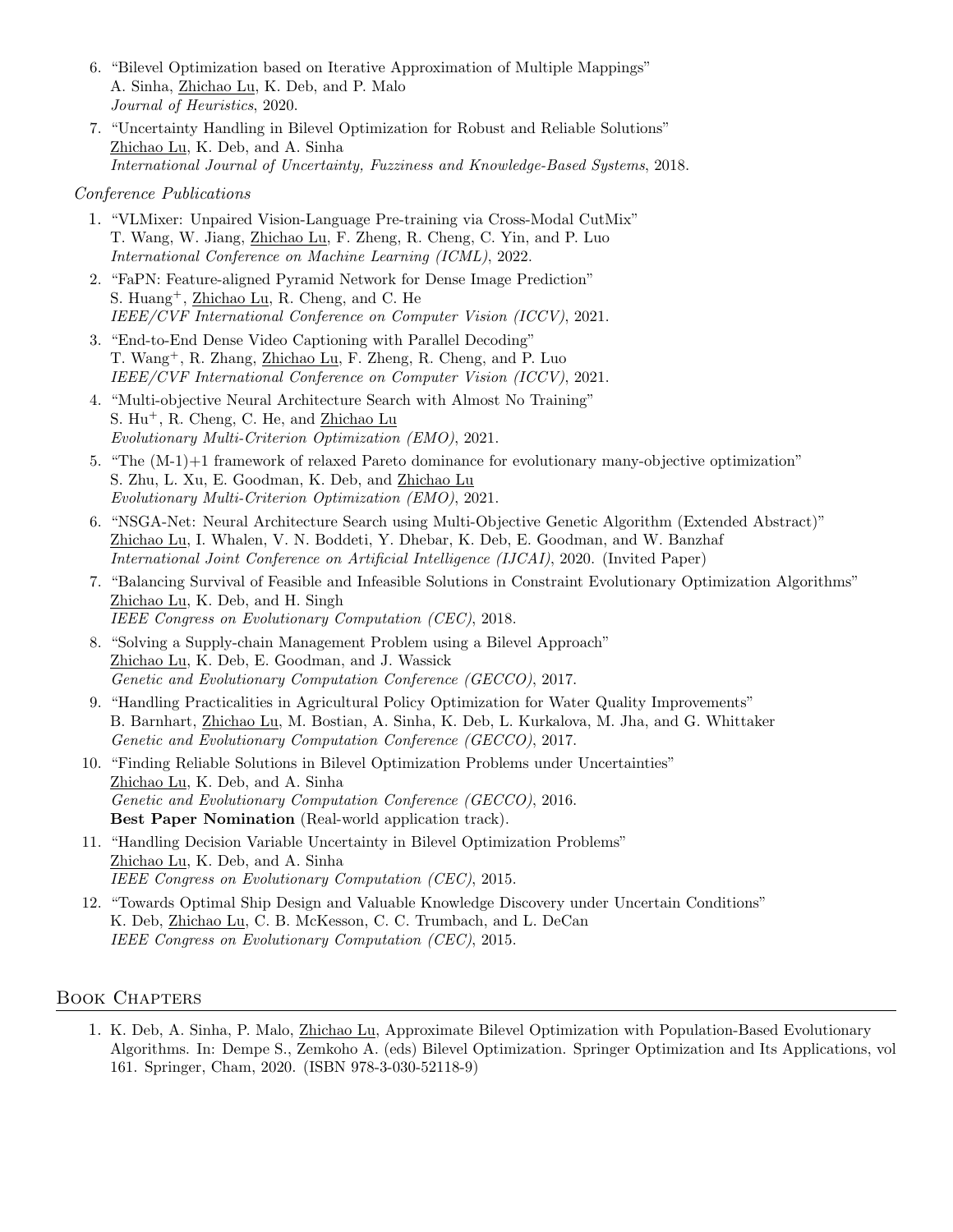- 6. "Bilevel Optimization based on Iterative Approximation of Multiple Mappings" A. Sinha, Zhichao Lu, K. Deb, and P. Malo Journal of Heuristics, 2020.
- 7. "Uncertainty Handling in Bilevel Optimization for Robust and Reliable Solutions" Zhichao Lu, K. Deb, and A. Sinha International Journal of Uncertainty, Fuzziness and Knowledge-Based Systems, 2018.

#### Conference Publications

- 1. "VLMixer: Unpaired Vision-Language Pre-training via Cross-Modal CutMix" T. Wang, W. Jiang, Zhichao Lu, F. Zheng, R. Cheng, C. Yin, and P. Luo International Conference on Machine Learning (ICML), 2022.
- 2. "FaPN: Feature-aligned Pyramid Network for Dense Image Prediction" S. Huang<sup>+</sup>, <u>Zhichao Lu</u>, R. Cheng, and C. He IEEE/CVF International Conference on Computer Vision (ICCV), 2021.
- 3. "End-to-End Dense Video Captioning with Parallel Decoding" T. Wang<sup>+</sup>, R. Zhang, <u>Zhichao Lu</u>, F. Zheng, R. Cheng, and P. Luo IEEE/CVF International Conference on Computer Vision (ICCV), 2021.
- 4. "Multi-objective Neural Architecture Search with Almost No Training" S. Hu<sup>+</sup>, R. Cheng, C. He, and Zhichao Lu Evolutionary Multi-Criterion Optimization (EMO), 2021.
- 5. "The (M-1)+1 framework of relaxed Pareto dominance for evolutionary many-objective optimization" S. Zhu, L. Xu, E. Goodman, K. Deb, and Zhichao Lu Evolutionary Multi-Criterion Optimization (EMO), 2021.
- 6. "NSGA-Net: Neural Architecture Search using Multi-Objective Genetic Algorithm (Extended Abstract)" Zhichao Lu, I. Whalen, V. N. Boddeti, Y. Dhebar, K. Deb, E. Goodman, and W. Banzhaf International Joint Conference on Artificial Intelligence (IJCAI), 2020. (Invited Paper)
- 7. "Balancing Survival of Feasible and Infeasible Solutions in Constraint Evolutionary Optimization Algorithms" Zhichao Lu, K. Deb, and H. Singh IEEE Congress on Evolutionary Computation (CEC), 2018.
- 8. "Solving a Supply-chain Management Problem using a Bilevel Approach" Zhichao Lu, K. Deb, E. Goodman, and J. Wassick Genetic and Evolutionary Computation Conference (GECCO), 2017.
- 9. "Handling Practicalities in Agricultural Policy Optimization for Water Quality Improvements" B. Barnhart, Zhichao Lu, M. Bostian, A. Sinha, K. Deb, L. Kurkalova, M. Jha, and G. Whittaker Genetic and Evolutionary Computation Conference (GECCO), 2017.
- 10. "Finding Reliable Solutions in Bilevel Optimization Problems under Uncertainties" Zhichao Lu, K. Deb, and A. Sinha Genetic and Evolutionary Computation Conference (GECCO), 2016. Best Paper Nomination (Real-world application track).
- 11. "Handling Decision Variable Uncertainty in Bilevel Optimization Problems" Zhichao Lu, K. Deb, and A. Sinha IEEE Congress on Evolutionary Computation (CEC), 2015.
- 12. "Towards Optimal Ship Design and Valuable Knowledge Discovery under Uncertain Conditions" K. Deb, Zhichao Lu, C. B. McKesson, C. C. Trumbach, and L. DeCan IEEE Congress on Evolutionary Computation (CEC), 2015.

## Book Chapters

1. K. Deb, A. Sinha, P. Malo, Zhichao Lu, Approximate Bilevel Optimization with Population-Based Evolutionary Algorithms. In: Dempe S., Zemkoho A. (eds) Bilevel Optimization. Springer Optimization and Its Applications, vol 161. Springer, Cham, 2020. (ISBN 978-3-030-52118-9)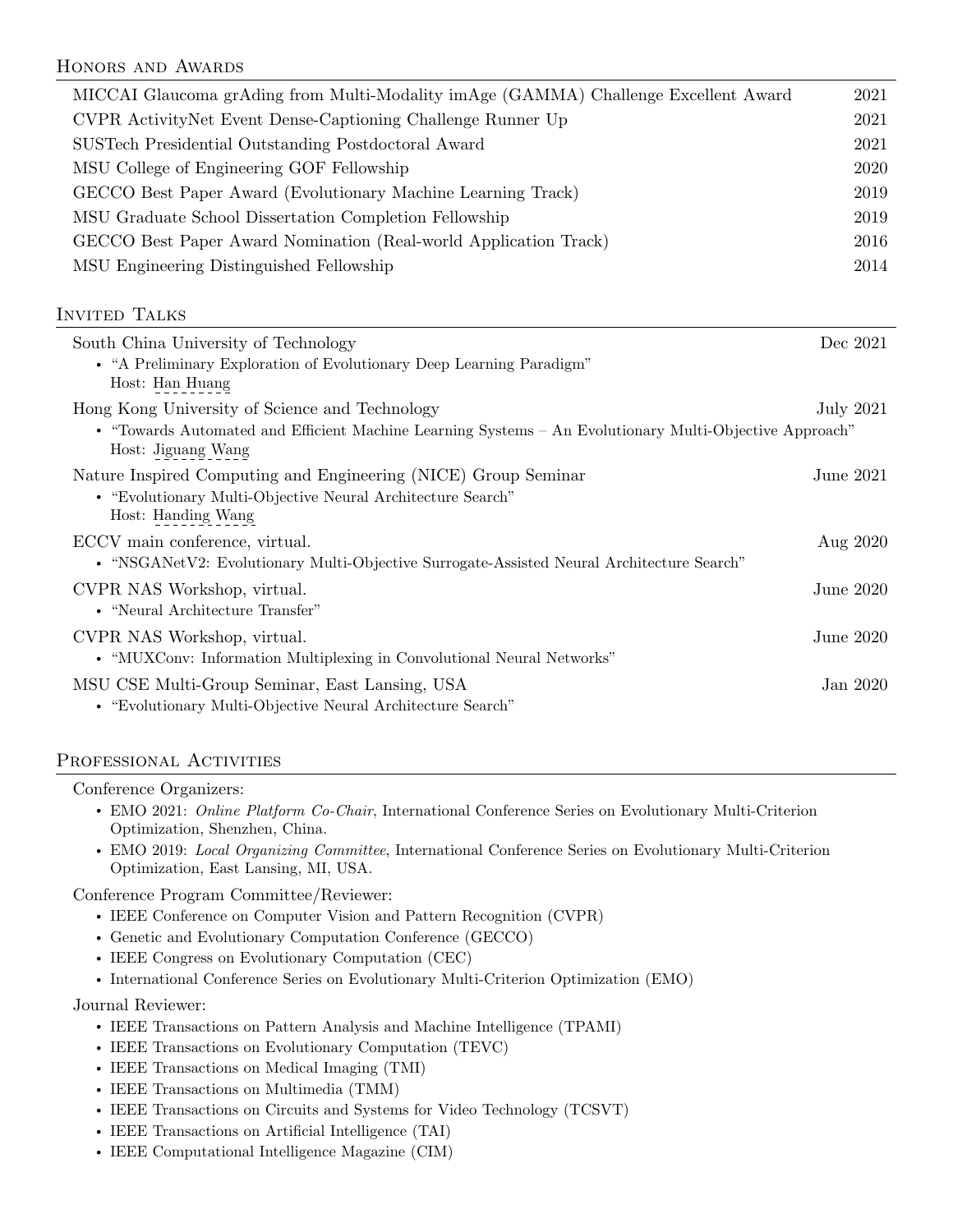# Honors and Awards

| MICCAI Glaucoma grAding from Multi-Modality imAge (GAMMA) Challenge Excellent Award                                           | 2021             |
|-------------------------------------------------------------------------------------------------------------------------------|------------------|
| CVPR ActivityNet Event Dense-Captioning Challenge Runner Up                                                                   | 2021             |
| SUSTech Presidential Outstanding Postdoctoral Award                                                                           | 2021             |
| MSU College of Engineering GOF Fellowship                                                                                     | 2020             |
| GECCO Best Paper Award (Evolutionary Machine Learning Track)                                                                  | 2019             |
| MSU Graduate School Dissertation Completion Fellowship                                                                        | 2019             |
| GECCO Best Paper Award Nomination (Real-world Application Track)                                                              | 2016             |
| MSU Engineering Distinguished Fellowship                                                                                      | 2014             |
|                                                                                                                               |                  |
| <b>INVITED TALKS</b>                                                                                                          |                  |
| South China University of Technology                                                                                          | Dec 2021         |
| • "A Preliminary Exploration of Evolutionary Deep Learning Paradigm"<br>Host: Han Huang                                       |                  |
| Hong Kong University of Science and Technology                                                                                | <b>July 2021</b> |
| • "Towards Automated and Efficient Machine Learning Systems - An Evolutionary Multi-Objective Approach"<br>Host: Jiguang Wang |                  |
| Nature Inspired Computing and Engineering (NICE) Group Seminar                                                                | <b>June 2021</b> |
| • "Evolutionary Multi-Objective Neural Architecture Search"                                                                   |                  |
| Host: Handing Wang                                                                                                            |                  |
| ECCV main conference, virtual.                                                                                                | Aug 2020         |
| • "NSGANetV2: Evolutionary Multi-Objective Surrogate-Assisted Neural Architecture Search"                                     |                  |
| CVPR NAS Workshop, virtual.<br>• "Neural Architecture Transfer"                                                               | June 2020        |
|                                                                                                                               |                  |
| CVPR NAS Workshop, virtual.<br>• "MUXConv: Information Multiplexing in Convolutional Neural Networks"                         | June 2020        |
|                                                                                                                               |                  |
| MSU CSE Multi-Group Seminar, East Lansing, USA<br>• "Evolutionary Multi-Objective Neural Architecture Search"                 | Jan 2020         |
|                                                                                                                               |                  |

## PROFESSIONAL ACTIVITIES

| Conference Organizers:                                                                                                                          |
|-------------------------------------------------------------------------------------------------------------------------------------------------|
| • EMO 2021: Online Platform Co-Chair, International Conference Series on Evolutionary Multi-Criterion<br>Optimization, Shenzhen, China.         |
| • EMO 2019: Local Organizing Committee, International Conference Series on Evolutionary Multi-Criterion<br>Optimization, East Lansing, MI, USA. |
| Conference Program Committee/Reviewer:                                                                                                          |
| • IEEE Conference on Computer Vision and Pattern Recognition (CVPR)                                                                             |
| • Genetic and Evolutionary Computation Conference (GECCO)                                                                                       |
| • IEEE Congress on Evolutionary Computation (CEC)                                                                                               |
| • International Conference Series on Evolutionary Multi-Criterion Optimization (EMO)                                                            |
|                                                                                                                                                 |

## Journal Reviewer:

- ' IEEE Transactions on Pattern Analysis and Machine Intelligence (TPAMI)
- ' IEEE Transactions on Evolutionary Computation (TEVC)
- ' IEEE Transactions on Medical Imaging (TMI)
- ' IEEE Transactions on Multimedia (TMM)
- ' IEEE Transactions on Circuits and Systems for Video Technology (TCSVT)
- ' IEEE Transactions on Artificial Intelligence (TAI)
- ' IEEE Computational Intelligence Magazine (CIM)